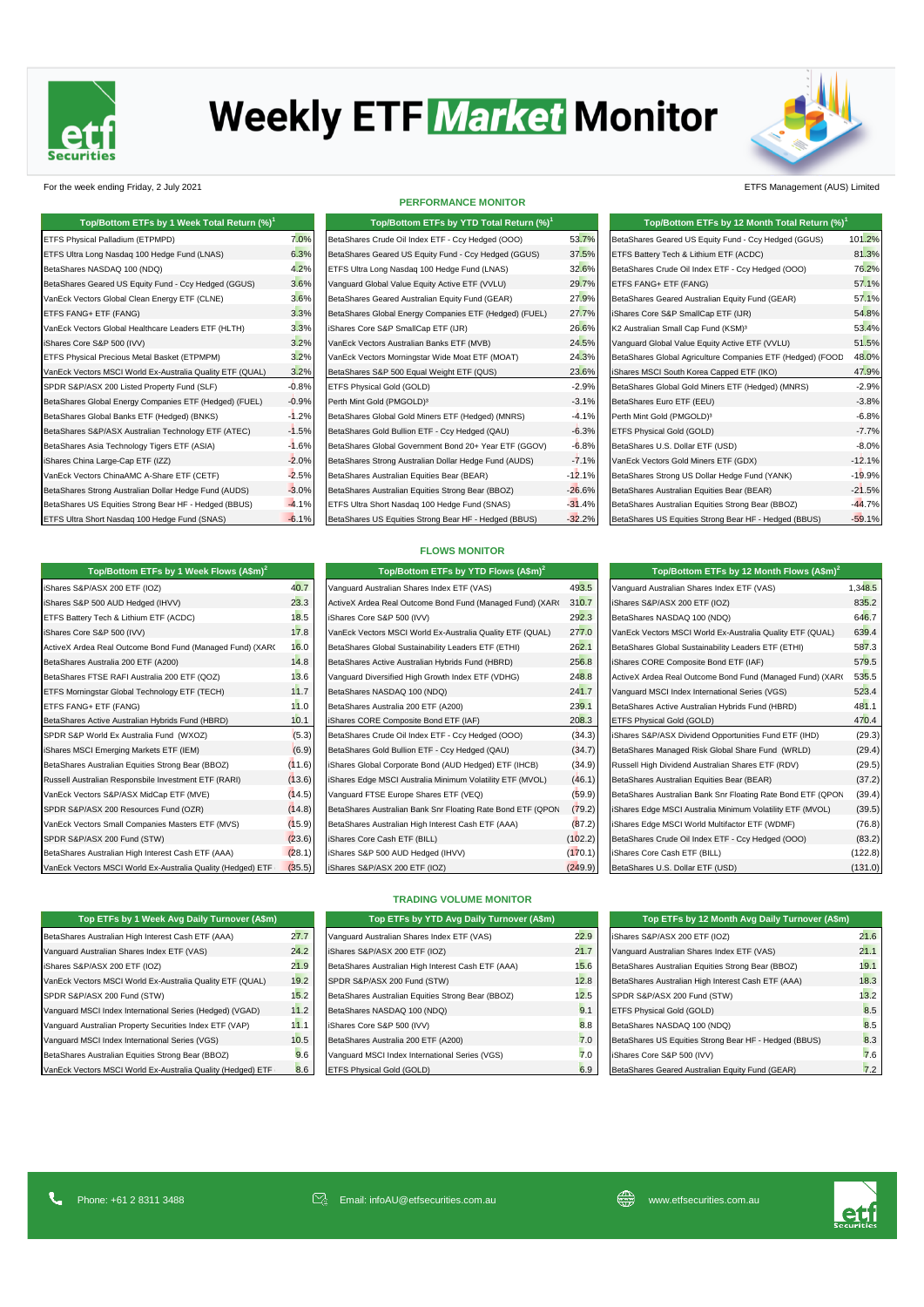

# **Weekly ETF Market Monitor**



For the week ending Friday, 2 July 2021 ETFS Management (AUS) Limited

| Top/Bottom ETFs by 1 Week Total Return (%) <sup>1</sup>   |         | Top/Bottom ETFs by YTD Total Return (%) <sup>1</sup>   |          | Top/Bottom ETFs by 12 Month Total Return (%) <sup>1</sup>  |          |
|-----------------------------------------------------------|---------|--------------------------------------------------------|----------|------------------------------------------------------------|----------|
| ETFS Physical Palladium (ETPMPD)                          | 7.0%    | BetaShares Crude Oil Index ETF - Ccy Hedged (OOO)      | 53.7%    | BetaShares Geared US Equity Fund - Ccy Hedged (GGUS)       | 101.2%   |
| ETFS Ultra Long Nasdag 100 Hedge Fund (LNAS)              | 6.3%    | BetaShares Geared US Equity Fund - Ccy Hedged (GGUS)   | 37.5%    | ETFS Battery Tech & Lithium ETF (ACDC)                     | 81.3%    |
| BetaShares NASDAQ 100 (NDQ)                               | 4.2%    | ETFS Ultra Long Nasdaq 100 Hedge Fund (LNAS)           | 32.6%    | BetaShares Crude Oil Index ETF - Ccy Hedged (OOO)          | 76.2%    |
| BetaShares Geared US Equity Fund - Ccy Hedged (GGUS)      | 3.6%    | Vanguard Global Value Equity Active ETF (VVLU)         | 29.7%    | ETFS FANG+ ETF (FANG)                                      | 57.1%    |
| VanEck Vectors Global Clean Energy ETF (CLNE)             | 3.6%    | BetaShares Geared Australian Equity Fund (GEAR)        | 27.9%    | BetaShares Geared Australian Equity Fund (GEAR)            | 57.1%    |
| ETFS FANG+ ETF (FANG)                                     | 3.3%    | BetaShares Global Energy Companies ETF (Hedged) (FUEL) | 27.7%    | iShares Core S&P SmallCap ETF (IJR)                        | 54.8%    |
| VanEck Vectors Global Healthcare Leaders ETF (HLTH)       | 3.3%    | iShares Core S&P SmallCap ETF (IJR)                    | 26.6%    | K2 Australian Small Cap Fund (KSM) <sup>3</sup>            | 53.4%    |
| iShares Core S&P 500 (IVV)                                | 3.2%    | VanEck Vectors Australian Banks ETF (MVB)              | 24.5%    | Vanguard Global Value Equity Active ETF (VVLU)             | 51.5%    |
| ETFS Physical Precious Metal Basket (ETPMPM)              | 3.2%    | VanEck Vectors Morningstar Wide Moat ETF (MOAT)        | 24.3%    | BetaShares Global Agriculture Companies ETF (Hedged) (FOOD | 48.0%    |
| VanEck Vectors MSCI World Ex-Australia Quality ETF (QUAL) | 3.2%    | BetaShares S&P 500 Equal Weight ETF (QUS)              | 23.6%    | iShares MSCI South Korea Capped ETF (IKO)                  | 47.9%    |
| SPDR S&P/ASX 200 Listed Property Fund (SLF)               | $-0.8%$ | ETFS Physical Gold (GOLD)                              | $-2.9%$  | BetaShares Global Gold Miners ETF (Hedged) (MNRS)          | $-2.9%$  |
| BetaShares Global Energy Companies ETF (Hedged) (FUEL)    | $-0.9%$ | Perth Mint Gold (PMGOLD) <sup>3</sup>                  | $-3.1%$  | BetaShares Euro ETF (EEU)                                  | $-3.8%$  |
| BetaShares Global Banks ETF (Hedged) (BNKS)               | $-1.2%$ | BetaShares Global Gold Miners ETF (Hedged) (MNRS)      | $-4.1%$  | Perth Mint Gold (PMGOLD) <sup>3</sup>                      | $-6.8%$  |
| BetaShares S&P/ASX Australian Technology ETF (ATEC)       | $-1.5%$ | BetaShares Gold Bullion ETF - Ccy Hedged (QAU)         | $-6.3%$  | ETFS Physical Gold (GOLD)                                  | $-7.7%$  |
| BetaShares Asia Technology Tigers ETF (ASIA)              | $-1.6%$ | BetaShares Global Government Bond 20+ Year ETF (GGOV)  | $-6.8%$  | BetaShares U.S. Dollar ETF (USD)                           | $-8.0%$  |
| iShares China Large-Cap ETF (IZZ)                         | $-2.0%$ | BetaShares Strong Australian Dollar Hedge Fund (AUDS)  | $-7.1%$  | VanEck Vectors Gold Miners ETF (GDX)                       | $-12.1%$ |
| VanEck Vectors ChinaAMC A-Share ETF (CETF)                | $-2.5%$ | BetaShares Australian Equities Bear (BEAR)             | $-12.1%$ | BetaShares Strong US Dollar Hedge Fund (YANK)              | $-19.9%$ |
| BetaShares Strong Australian Dollar Hedge Fund (AUDS)     | $-3.0%$ | BetaShares Australian Equities Strong Bear (BBOZ)      | $-26.6%$ | BetaShares Australian Equities Bear (BEAR)                 | $-21.5%$ |
| BetaShares US Equities Strong Bear HF - Hedged (BBUS)     | $-4.1%$ | ETFS Ultra Short Nasdaq 100 Hedge Fund (SNAS)          | $-31.4%$ | BetaShares Australian Equities Strong Bear (BBOZ)          | $-44.7%$ |
| ETFS Ultra Short Nasdaq 100 Hedge Fund (SNAS)             | $-6.1%$ | BetaShares US Equities Strong Bear HF - Hedged (BBUS)  | $-32.2%$ | BetaShares US Equities Strong Bear HF - Hedged (BBUS)      | $-59.1%$ |

iShares S&P/ASX 200 ETF (IOZ) 40.7 iShares S&P 500 AUD Hedged (IHVV) and Areal Outcome Bond Fund (Managed Fund) (Xaro) 310.7 ishares S&P ETFS Battery Tech & Lithium ETF (ACDC) 18.5 iShares Core S&P 500 (IVV) 17.8 VanEck Vectors MSCI World Ex-Australia Quality ETF (QUAL) 27.8 ActiveX Ardea Real Outcome Bond Fund (Managed Fund) (XAR(
16.0 BetaShares Australia 200 ETF (A200) 14.8 BetaShares FTSE RAFI Australia 200 ETF (QOZ) 248.8 Active Bond Fund Real Outcome Bond Fund Fund Fund Fund at A ETFS Morningstar Global Technology ETF (TECH) 21.7 ETFS FANG+ ETF (FANG) BetaShares Australia 200 ETFS Fund (HBRD) 31.0 BetaShares Active Australian Hybrids Fund (HBRD) **10.1** SPDR S&P World Ex Australia Fund (WXOZ) 8etaShares Crude (5.3) iShares MSCI Emerging Markets ETF (IEM) BetaShares MSCI Bullion ETF - CC-9 BetaShares Australian Equities Strong Bear (BBOZ) iShares Australian Equities Etrong Bear (BBOZ) Russell Australian Responsbile Investment ETF (RARI) iShares Ette Munimum (13.6) VanEck Vectors S&P/ASX MidCap ETF (MVE) (14.5) SPDR S&P/ASX 200 Resources Fund (OZR) BetaShares (14.8) VanEck Vectors Small Companies Masters ETF (MVS) (15.9) SPDR S&P/ASX 200 Fund (STW) iShares Core Cash ETF (23.6) BetaShares Australian High Interest Cash ETF (AAA) **600 AUD 170.1** (28.1) VanEck Vectors MSCI World Ex-Australia Quality (Hedged) ETF (35.5)

**Top/Bottom ETFs by 1 Week Flows (A\$m)<sup>2</sup>**

**PERFORMANCE MONITOR**

| Top/Bottom ETFs by YTD Total Return (%) <sup>1</sup>   |         |
|--------------------------------------------------------|---------|
| BetaShares Crude Oil Index ETF - Ccy Hedged (OOO)      | 53.7    |
| BetaShares Geared US Equity Fund - Ccy Hedged (GGUS)   | 37.5    |
| ETFS Ultra Long Nasdag 100 Hedge Fund (LNAS)           | 32.6    |
| Vanguard Global Value Equity Active ETF (VVLU)         | 29.7    |
| BetaShares Geared Australian Equity Fund (GEAR)        | 27.9    |
| BetaShares Global Energy Companies ETF (Hedged) (FUEL) | 27.7    |
| iShares Core S&P SmallCap ETF (IJR)                    | 26.6    |
| VanEck Vectors Australian Banks ETF (MVB)              | 24.5    |
| VanEck Vectors Morningstar Wide Moat ETF (MOAT)        | 24.3    |
| BetaShares S&P 500 Equal Weight ETF (QUS)              | 23.6    |
| ETFS Physical Gold (GOLD)                              | $-2.9$  |
| Perth Mint Gold (PMGOLD) <sup>3</sup>                  | $-3.1$  |
| BetaShares Global Gold Miners ETF (Hedged) (MNRS)      | $-4.1$  |
| BetaShares Gold Bullion ETF - Ccy Hedged (QAU)         | $-6.3$  |
| BetaShares Global Government Bond 20+ Year ETF (GGOV)  | $-6.8$  |
| BetaShares Strong Australian Dollar Hedge Fund (AUDS)  | $-7.1$  |
| BetaShares Australian Equities Bear (BEAR)             | $-12.1$ |
| BetaShares Australian Equities Strong Bear (BBOZ)      | $-26.6$ |
| ETFS Ultra Short Nasdaq 100 Hedge Fund (SNAS)          | $-31.4$ |
| BetaShares US Equities Strong Bear HF - Hedged (BBUS)  | $-32.2$ |
|                                                        |         |

| Top/Bottom ETFs by 1 Week Total Return (%) <sup>1</sup>   |          | Top/Bottom ETFs by YTD Total Return (%) <sup>1</sup>   |           | Top/Bottom ETFs by 12 Month Total Return (%) <sup>1</sup>  |          |
|-----------------------------------------------------------|----------|--------------------------------------------------------|-----------|------------------------------------------------------------|----------|
| ETFS Physical Palladium (ETPMPD)                          | 7.0%     | BetaShares Crude Oil Index ETF - Ccy Hedged (OOO)      | 53.7%     | BetaShares Geared US Equity Fund - Ccy Hedged (GGUS)       | 101.2%   |
| ETFS Ultra Long Nasdaq 100 Hedge Fund (LNAS)              | 6.3%     | BetaShares Geared US Equity Fund - Ccy Hedged (GGUS)   | 37.5%     | ETFS Battery Tech & Lithium ETF (ACDC)                     | 81.3%    |
| BetaShares NASDAQ 100 (NDQ)                               | 4.2%     | ETFS Ultra Long Nasdag 100 Hedge Fund (LNAS)           | 32.6%     | BetaShares Crude Oil Index ETF - Ccy Hedged (OOO)          | 76.2%    |
| BetaShares Geared US Equity Fund - Ccy Hedged (GGUS)      | 3.6%     | Vanguard Global Value Equity Active ETF (VVLU)         | 29.7%     | ETFS FANG+ ETF (FANG)                                      | 57.1%    |
| VanEck Vectors Global Clean Energy ETF (CLNE)             | 3.6%     | BetaShares Geared Australian Equity Fund (GEAR)        | 27.9%     | BetaShares Geared Australian Equity Fund (GEAR)            | 57.1%    |
| ETFS FANG+ ETF (FANG)                                     | 3.3%     | BetaShares Global Energy Companies ETF (Hedged) (FUEL) | 27.7%     | iShares Core S&P SmallCap ETF (IJR)                        | 54.8%    |
| VanEck Vectors Global Healthcare Leaders ETF (HLTH)       | 3.3%     | iShares Core S&P SmallCap ETF (IJR)                    | 26.6%     | K2 Australian Small Cap Fund (KSM) <sup>3</sup>            | 53.4%    |
| iShares Core S&P 500 (IVV)                                | 3.2%     | VanEck Vectors Australian Banks ETF (MVB)              | 24.5%     | Vanguard Global Value Equity Active ETF (VVLU)             | 51.5%    |
| ETFS Physical Precious Metal Basket (ETPMPM)              | 3.2%     | VanEck Vectors Morningstar Wide Moat ETF (MOAT)        | 24.3%     | BetaShares Global Agriculture Companies ETF (Hedged) (FOOD | 48.0%    |
| VanEck Vectors MSCI World Ex-Australia Quality ETF (QUAL) | 3.2%     | BetaShares S&P 500 Equal Weight ETF (QUS)              | 23.6%     | iShares MSCI South Korea Capped ETF (IKO)                  | 47.9%    |
| SPDR S&P/ASX 200 Listed Property Fund (SLF)               | $-0.8%$  | ETFS Physical Gold (GOLD)                              | $-2.9%$   | BetaShares Global Gold Miners ETF (Hedged) (MNRS)          | $-2.9%$  |
| BetaShares Global Energy Companies ETF (Hedged) (FUEL)    | $-0.9%$  | Perth Mint Gold (PMGOLD) <sup>3</sup>                  | $-3.1%$   | BetaShares Euro ETF (EEU)                                  | $-3.8%$  |
| BetaShares Global Banks ETF (Hedged) (BNKS)               | $-1.2%$  | BetaShares Global Gold Miners ETF (Hedged) (MNRS)      | $-4.1%$   | Perth Mint Gold (PMGOLD) <sup>3</sup>                      | $-6.8%$  |
| BetaShares S&P/ASX Australian Technology ETF (ATEC)       | $-1.5%$  | BetaShares Gold Bullion ETF - Ccy Hedged (QAU)         | $-6.3%$   | ETFS Physical Gold (GOLD)                                  | $-7.7%$  |
| BetaShares Asia Technology Tigers ETF (ASIA)              | $-1.6%$  | BetaShares Global Government Bond 20+ Year ETF (GGOV)  | $-6.8%$   | BetaShares U.S. Dollar ETF (USD)                           | $-8.0%$  |
| iShares China Large-Cap ETF (IZZ)                         | $-2.0%$  | BetaShares Strong Australian Dollar Hedge Fund (AUDS)  | $-7.1%$   | VanEck Vectors Gold Miners ETF (GDX)                       | $-12.1%$ |
| VanEck Vectors ChinaAMC A-Share ETF (CETF)                | $-2.5%$  | BetaShares Australian Equities Bear (BEAR)             | $-12.1%$  | BetaShares Strong US Dollar Hedge Fund (YANK)              | $-19.9%$ |
| BetaShares Strong Australian Dollar Hedge Fund (AUDS)     | $-3.0%$  | BetaShares Australian Equities Strong Bear (BBOZ)      | $-26.6%$  | BetaShares Australian Equities Bear (BEAR)                 | $-21.5%$ |
| BetaShares US Equities Strong Bear HF - Hedged (BBUS)     | $-4.1%$  | ETFS Ultra Short Nasdaq 100 Hedge Fund (SNAS)          | $-31.4%$  | BetaShares Australian Equities Strong Bear (BBOZ)          | $-44.7%$ |
| ETES Liltra Short Nasdag 100 Hedge Eund (SNAS)            | $-6.10/$ | RetaShares LIS Equities Strong Bear HE - Hedged (RRUS) | $-32.20/$ | BotaShares LIS Equities Strong Bear HE - Hedged (BBLIS)    | $-5010/$ |

|  | <b>FLOWS MONITOR</b> |  |
|--|----------------------|--|

| Top/Bottom ETFs by YTD Flows (A\$m) <sup>2</sup>            |         |
|-------------------------------------------------------------|---------|
| Vanguard Australian Shares Index ETF (VAS)                  | 493.5   |
| ActiveX Ardea Real Outcome Bond Fund (Managed Fund) (XARI   | 310.7   |
| iShares Core S&P 500 (IVV)                                  | 292.3   |
| VanEck Vectors MSCI World Ex-Australia Quality ETF (QUAL)   | 277.0   |
| BetaShares Global Sustainability Leaders ETF (ETHI)         | 262.1   |
| BetaShares Active Australian Hybrids Fund (HBRD)            | 256.8   |
| Vanguard Diversified High Growth Index ETF (VDHG)           | 248.8   |
| BetaShares NASDAQ 100 (NDQ)                                 | 241.7   |
| BetaShares Australia 200 ETF (A200)                         | 239.1   |
| iShares CORE Composite Bond ETF (IAF)                       | 208.3   |
| BetaShares Crude Oil Index ETF - Ccy Hedged (OOO)           | (34.3)  |
| BetaShares Gold Bullion ETF - Ccy Hedged (QAU)              | (34.7)  |
| iShares Global Corporate Bond (AUD Hedged) ETF (IHCB)       | (34.9)  |
| iShares Edge MSCI Australia Minimum Volatility ETF (MVOL)   | (46.1)  |
| Vanquard FTSE Europe Shares ETF (VEQ)                       | (59.9)  |
| BetaShares Australian Bank Snr Floating Rate Bond ETF (QPON | (79.2)  |
| BetaShares Australian High Interest Cash ETF (AAA)          | (87.2)  |
| iShares Core Cash ETF (BILL)                                | (102.2) |
| iShares S&P 500 AUD Hedged (IHVV)                           | (170.1) |
| iShares S&P/ASX 200 ETF (IOZ)                               | (249.9) |

| Top/Bottom ETFs by 12 Month Flows (A\$m) <sup>2</sup>       |         |
|-------------------------------------------------------------|---------|
| Vanguard Australian Shares Index ETF (VAS)                  | 1.348.5 |
| iShares S&P/ASX 200 ETF (IOZ)                               | 835.2   |
| BetaShares NASDAQ 100 (NDQ)                                 | 646.7   |
| VanEck Vectors MSCI World Ex-Australia Quality ETF (QUAL)   | 639.4   |
| BetaShares Global Sustainability Leaders ETF (ETHI)         | 587.3   |
| iShares CORE Composite Bond ETF (IAF)                       | 579.5   |
| ActiveX Ardea Real Outcome Bond Fund (Managed Fund) (XARI   | 535.5   |
| Vanguard MSCI Index International Series (VGS)              | 523.4   |
| BetaShares Active Australian Hybrids Fund (HBRD)            | 481.1   |
| ETFS Physical Gold (GOLD)                                   | 470.4   |
| iShares S&P/ASX Dividend Opportunities Fund ETF (IHD)       | (29.3)  |
| BetaShares Managed Risk Global Share Fund (WRLD)            | (29.4)  |
| Russell High Dividend Australian Shares ETF (RDV)           | (29.5)  |
| BetaShares Australian Equities Bear (BEAR)                  | (37.2)  |
| BetaShares Australian Bank Snr Floating Rate Bond ETF (QPON | (39.4)  |
| iShares Edge MSCI Australia Minimum Volatility ETF (MVOL)   | (39.5)  |
| iShares Edge MSCI World Multifactor ETF (WDMF)              | (76.8)  |
| BetaShares Crude Oil Index ETF - Ccy Hedged (OOO)           | (83.2)  |
| iShares Core Cash ETF (BILL)                                | (122.8) |
| BetaShares U.S. Dollar ETF (USD)                            | (131.0) |

| Top ETFs by 1 Week Avg Daily Turnover (A\$m)                |      |
|-------------------------------------------------------------|------|
| BetaShares Australian High Interest Cash ETF (AAA)          | 27.7 |
| Vanquard Australian Shares Index ETF (VAS)                  | 24.2 |
| iShares S&P/ASX 200 ETF (IOZ)                               | 21.9 |
| VanEck Vectors MSCI World Ex-Australia Quality ETF (QUAL)   | 19.2 |
| SPDR S&P/ASX 200 Fund (STW)                                 | 15.2 |
| Vanquard MSCI Index International Series (Hedged) (VGAD)    | 11.2 |
| Vanquard Australian Property Securities Index ETF (VAP)     | 11.7 |
| Vanguard MSCI Index International Series (VGS)              | 10.5 |
| BetaShares Australian Equities Strong Bear (BBOZ)           | 9.6  |
| VanEck Vectors MSCI World Ex-Australia Quality (Hedged) ETF | 8.6  |

## **TRADING VOLUME MONITOR**

| Top ETFs by 1 Week Avg Daily Turnover (A\$m)        |      | Top ETFs by YTD Avg Daily Turnover (A\$m)          |      | Top ETFs by 12 Month Avg Daily Turnover (A\$m)        |
|-----------------------------------------------------|------|----------------------------------------------------|------|-------------------------------------------------------|
| es Australian High Interest Cash ETF (AAA)          | 27.7 | Vanquard Australian Shares Index ETF (VAS)         | 22.9 | iShares S&P/ASX 200 ETF (IOZ)                         |
| Australian Shares Index ETF (VAS)                   | 24.2 | iShares S&P/ASX 200 ETF (IOZ)                      | 21.7 | Vanquard Australian Shares Index ETF (VAS)            |
| &P/ASX 200 ETF (IOZ)                                | 21.9 | BetaShares Australian High Interest Cash ETF (AAA) | 15.6 | BetaShares Australian Equities Strong Bear (BBOZ)     |
| ectors MSCI World Ex-Australia Quality ETF (QUAL)   | 19.2 | SPDR S&P/ASX 200 Fund (STW)                        | 12.8 | BetaShares Australian High Interest Cash ETF (AAA)    |
| P/ASX 200 Fund (STW)                                | 15.2 | BetaShares Australian Equities Strong Bear (BBOZ)  | 12.5 | SPDR S&P/ASX 200 Fund (STW)                           |
| MSCI Index International Series (Hedged) (VGAD)     | 11.2 | BetaShares NASDAQ 100 (NDQ)                        | 9.1  | ETFS Physical Gold (GOLD)                             |
| Australian Property Securities Index ETF (VAP)      | 11.1 | iShares Core S&P 500 (IVV)                         | 8.8  | BetaShares NASDAQ 100 (NDQ)                           |
| MSCI Index International Series (VGS)               | 10.5 | BetaShares Australia 200 ETF (A200)                | 7.0  | BetaShares US Equities Strong Bear HF - Hedged (BBUS) |
| es Australian Equities Strong Bear (BBOZ)           | 9.6  | Vanquard MSCI Index International Series (VGS)     | 7.0  | iShares Core S&P 500 (IVV)                            |
| ectors MSCI World Ex-Australia Quality (Hedged) ETF | 8.6  | <b>ETFS Physical Gold (GOLD)</b>                   | 6.9  | BetaShares Geared Australian Equity Fund (GEAR)       |

| Top ETFs by 1 Week Avg Daily Turnover (A\$m)                |      | Top ETFs by YTD Avg Daily Turnover (A\$m)          |      | Top ETFs by 12 Month Avg Daily Turnover (A\$m)        |      |
|-------------------------------------------------------------|------|----------------------------------------------------|------|-------------------------------------------------------|------|
| BetaShares Australian High Interest Cash ETF (AAA)          | 27.7 | Vanquard Australian Shares Index ETF (VAS)         | 22.9 | iShares S&P/ASX 200 ETF (IOZ)                         | 21.6 |
| Vanguard Australian Shares Index ETF (VAS)                  | 24.2 | iShares S&P/ASX 200 ETF (IOZ)                      | 21.7 | Vanguard Australian Shares Index ETF (VAS)            | 21.1 |
| Shares S&P/ASX 200 ETF (IOZ)                                | 21.9 | BetaShares Australian High Interest Cash ETF (AAA) | 15.6 | BetaShares Australian Equities Strong Bear (BBOZ)     | 19.1 |
| VanEck Vectors MSCI World Ex-Australia Quality ETF (QUAL)   | 19.2 | SPDR S&P/ASX 200 Fund (STW)                        | 12.8 | BetaShares Australian High Interest Cash ETF (AAA)    | 18.3 |
| SPDR S&P/ASX 200 Fund (STW)                                 | 15.2 | BetaShares Australian Equities Strong Bear (BBOZ)  | 12.5 | SPDR S&P/ASX 200 Fund (STW)                           | 13.2 |
| Vanguard MSCI Index International Series (Hedged) (VGAD)    | 11.2 | BetaShares NASDAQ 100 (NDQ)                        | 9.1  | ETFS Physical Gold (GOLD)                             | 8.5  |
| Vanguard Australian Property Securities Index ETF (VAP)     | 11.1 | iShares Core S&P 500 (IVV)                         | 8.8  | BetaShares NASDAQ 100 (NDQ)                           | 8.5  |
| Vanguard MSCI Index International Series (VGS)              | 10.5 | BetaShares Australia 200 ETF (A200)                | 7.0  | BetaShares US Equities Strong Bear HF - Hedged (BBUS) | 8.3  |
| BetaShares Australian Equities Strong Bear (BBOZ)           | 9.6  | Vanquard MSCI Index International Series (VGS)     | 7.0  | iShares Core S&P 500 (IVV)                            | 7.6  |
| VanEck Vectors MSCI World Ex-Australia Quality (Hedged) ETF | 8.6  | ETFS Physical Gold (GOLD)                          | 6.9  | BetaShares Geared Australian Equity Fund (GEAR)       | 7.2  |